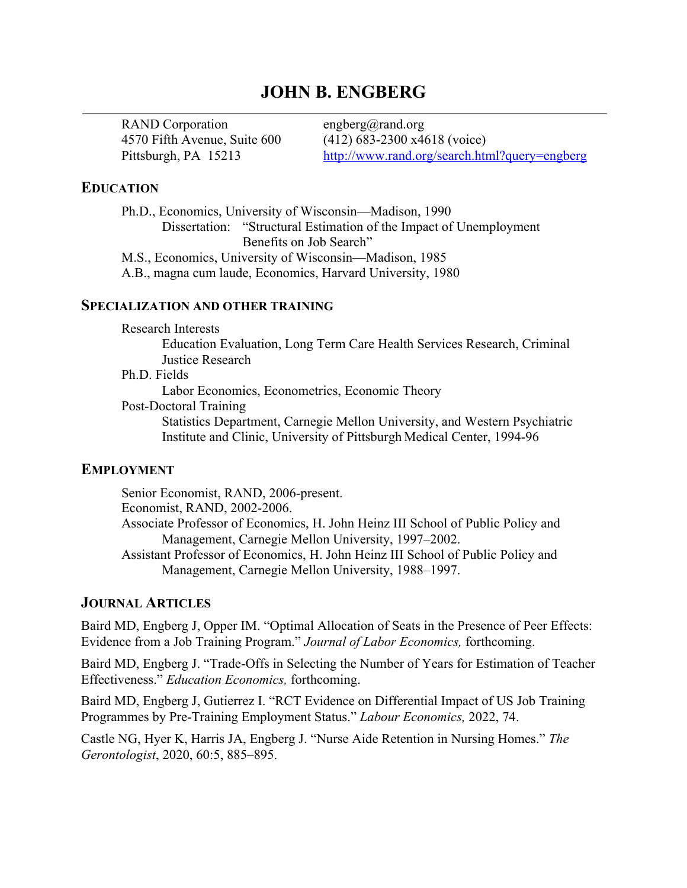# **JOHN B. ENGBERG**

RAND Corporation engberg@rand.org

4570 Fifth Avenue, Suite 600 (412) 683-2300 x4618 (voice) Pittsburgh, PA 15213 http://www.rand.org/search.html?query=engberg

#### **EDUCATION**

Ph.D., Economics, University of Wisconsin—Madison, 1990 Dissertation: "Structural Estimation of the Impact of Unemployment Benefits on Job Search" M.S., Economics, University of Wisconsin—Madison, 1985

A.B., magna cum laude, Economics, Harvard University, 1980

#### **SPECIALIZATION AND OTHER TRAINING**

Research Interests

Education Evaluation, Long Term Care Health Services Research, Criminal Justice Research

#### Ph.D. Fields

Labor Economics, Econometrics, Economic Theory

Post-Doctoral Training

Statistics Department, Carnegie Mellon University, and Western Psychiatric Institute and Clinic, University of Pittsburgh Medical Center, 1994-96

#### **EMPLOYMENT**

Senior Economist, RAND, 2006-present. Economist, RAND, 2002-2006. Associate Professor of Economics, H. John Heinz III School of Public Policy and Management, Carnegie Mellon University, 1997–2002. Assistant Professor of Economics, H. John Heinz III School of Public Policy and Management, Carnegie Mellon University, 1988–1997.

### **JOURNAL ARTICLES**

Baird MD, Engberg J, Opper IM. "Optimal Allocation of Seats in the Presence of Peer Effects: Evidence from a Job Training Program." *Journal of Labor Economics,* forthcoming.

Baird MD, Engberg J. "Trade-Offs in Selecting the Number of Years for Estimation of Teacher Effectiveness." *Education Economics,* forthcoming.

Baird MD, Engberg J, Gutierrez I. "RCT Evidence on Differential Impact of US Job Training Programmes by Pre-Training Employment Status." *Labour Economics,* 2022, 74.

Castle NG, Hyer K, Harris JA, Engberg J. "Nurse Aide Retention in Nursing Homes." *The Gerontologist*, 2020, 60:5, 885–895.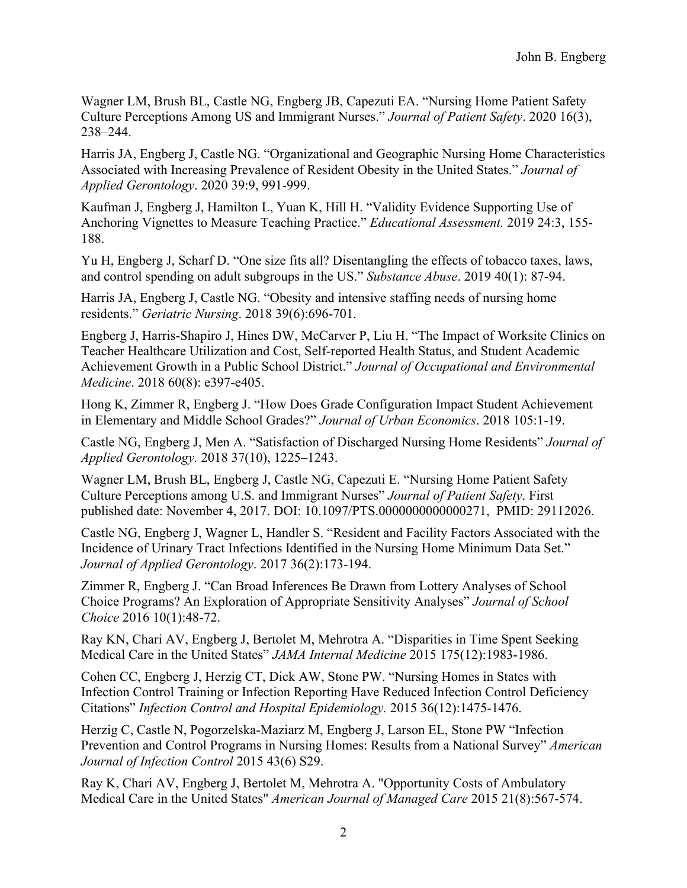Wagner LM, Brush BL, Castle NG, Engberg JB, Capezuti EA. "Nursing Home Patient Safety Culture Perceptions Among US and Immigrant Nurses." *Journal of Patient Safety*. 2020 16(3), 238–244.

Harris JA, Engberg J, Castle NG. "Organizational and Geographic Nursing Home Characteristics Associated with Increasing Prevalence of Resident Obesity in the United States." *Journal of Applied Gerontology*. 2020 39:9, 991-999.

Kaufman J, Engberg J, Hamilton L, Yuan K, Hill H. "Validity Evidence Supporting Use of Anchoring Vignettes to Measure Teaching Practice." *Educational Assessment.* 2019 24:3, 155- 188.

Yu H, Engberg J, Scharf D. "One size fits all? Disentangling the effects of tobacco taxes, laws, and control spending on adult subgroups in the US." *Substance Abuse*. 2019 40(1): 87-94.

Harris JA, Engberg J, Castle NG. "Obesity and intensive staffing needs of nursing home residents." *Geriatric Nursing*. 2018 39(6):696-701.

Engberg J, Harris-Shapiro J, Hines DW, McCarver P, Liu H. "The Impact of Worksite Clinics on Teacher Healthcare Utilization and Cost, Self-reported Health Status, and Student Academic Achievement Growth in a Public School District." *Journal of Occupational and Environmental Medicine*. 2018 60(8): e397-e405.

Hong K, Zimmer R, Engberg J. "How Does Grade Configuration Impact Student Achievement in Elementary and Middle School Grades?" *Journal of Urban Economics*. 2018 105:1-19.

Castle NG, Engberg J, Men A. "Satisfaction of Discharged Nursing Home Residents" *Journal of Applied Gerontology.* 2018 37(10), 1225–1243.

Wagner LM, Brush BL, Engberg J, Castle NG, Capezuti E. "Nursing Home Patient Safety Culture Perceptions among U.S. and Immigrant Nurses" *Journal of Patient Safety*. First published date: November 4, 2017. DOI: 10.1097/PTS.0000000000000271, PMID: 29112026.

Castle NG, Engberg J, Wagner L, Handler S. "Resident and Facility Factors Associated with the Incidence of Urinary Tract Infections Identified in the Nursing Home Minimum Data Set." *Journal of Applied Gerontology*. 2017 36(2):173-194.

Zimmer R, Engberg J. "Can Broad Inferences Be Drawn from Lottery Analyses of School Choice Programs? An Exploration of Appropriate Sensitivity Analyses" *Journal of School Choice* 2016 10(1):48-72.

Ray KN, Chari AV, Engberg J, Bertolet M, Mehrotra A. "Disparities in Time Spent Seeking Medical Care in the United States" *JAMA Internal Medicine* 2015 175(12):1983-1986.

Cohen CC, Engberg J, Herzig CT, Dick AW, Stone PW. "Nursing Homes in States with Infection Control Training or Infection Reporting Have Reduced Infection Control Deficiency Citations" *Infection Control and Hospital Epidemiology.* 2015 36(12):1475-1476.

Herzig C, Castle N, Pogorzelska-Maziarz M, Engberg J, Larson EL, Stone PW "Infection Prevention and Control Programs in Nursing Homes: Results from a National Survey" *American Journal of Infection Control* 2015 43(6) S29.

Ray K, Chari AV, Engberg J, Bertolet M, Mehrotra A. "Opportunity Costs of Ambulatory Medical Care in the United States" *American Journal of Managed Care* 2015 21(8):567-574.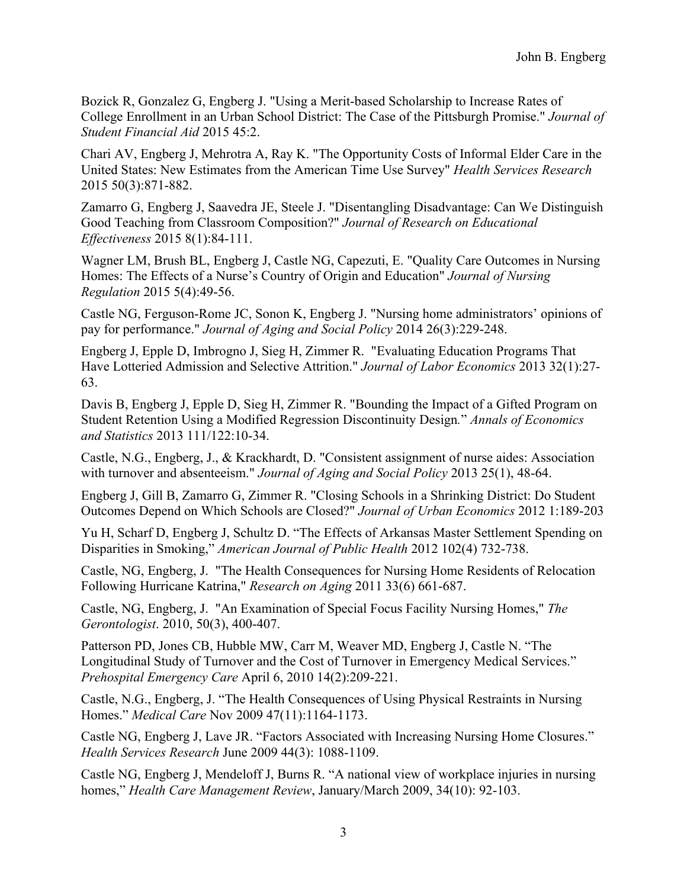Bozick R, Gonzalez G, Engberg J. "Using a Merit-based Scholarship to Increase Rates of College Enrollment in an Urban School District: The Case of the Pittsburgh Promise." *Journal of Student Financial Aid* 2015 45:2.

Chari AV, Engberg J, Mehrotra A, Ray K. "The Opportunity Costs of Informal Elder Care in the United States: New Estimates from the American Time Use Survey" *Health Services Research* 2015 50(3):871-882.

Zamarro G, Engberg J, Saavedra JE, Steele J. "Disentangling Disadvantage: Can We Distinguish Good Teaching from Classroom Composition?" *Journal of Research on Educational Effectiveness* 2015 8(1):84-111.

Wagner LM, Brush BL, Engberg J, Castle NG, Capezuti, E. "Quality Care Outcomes in Nursing Homes: The Effects of a Nurse's Country of Origin and Education" *Journal of Nursing Regulation* 2015 5(4):49-56.

Castle NG, Ferguson-Rome JC, Sonon K, Engberg J. "Nursing home administrators' opinions of pay for performance." *Journal of Aging and Social Policy* 2014 26(3):229-248.

Engberg J, Epple D, Imbrogno J, Sieg H, Zimmer R. "Evaluating Education Programs That Have Lotteried Admission and Selective Attrition." *Journal of Labor Economics* 2013 32(1):27- 63.

Davis B, Engberg J, Epple D, Sieg H, Zimmer R. "Bounding the Impact of a Gifted Program on Student Retention Using a Modified Regression Discontinuity Design*.*" *Annals of Economics and Statistics* 2013 111/122:10-34.

Castle, N.G., Engberg, J., & Krackhardt, D. "Consistent assignment of nurse aides: Association with turnover and absenteeism." *Journal of Aging and Social Policy* 2013 25(1), 48-64.

Engberg J, Gill B, Zamarro G, Zimmer R. "Closing Schools in a Shrinking District: Do Student Outcomes Depend on Which Schools are Closed?" *Journal of Urban Economics* 2012 1:189-203

Yu H, Scharf D, Engberg J, Schultz D. "The Effects of Arkansas Master Settlement Spending on Disparities in Smoking," *American Journal of Public Health* 2012 102(4) 732-738.

Castle, NG, Engberg, J. "The Health Consequences for Nursing Home Residents of Relocation Following Hurricane Katrina," *Research on Aging* 2011 33(6) 661-687.

Castle, NG, Engberg, J. "An Examination of Special Focus Facility Nursing Homes," *The Gerontologist*. 2010, 50(3), 400-407.

Patterson PD, Jones CB, Hubble MW, Carr M, Weaver MD, Engberg J, Castle N. "The Longitudinal Study of Turnover and the Cost of Turnover in Emergency Medical Services." *Prehospital Emergency Care* April 6, 2010 14(2):209-221.

Castle, N.G., Engberg, J. "The Health Consequences of Using Physical Restraints in Nursing Homes." *Medical Care* Nov 2009 47(11):1164-1173.

Castle NG, Engberg J, Lave JR. "Factors Associated with Increasing Nursing Home Closures." *Health Services Research* June 2009 44(3): 1088-1109.

Castle NG, Engberg J, Mendeloff J, Burns R. "A national view of workplace injuries in nursing homes," *Health Care Management Review*, January/March 2009, 34(10): 92-103.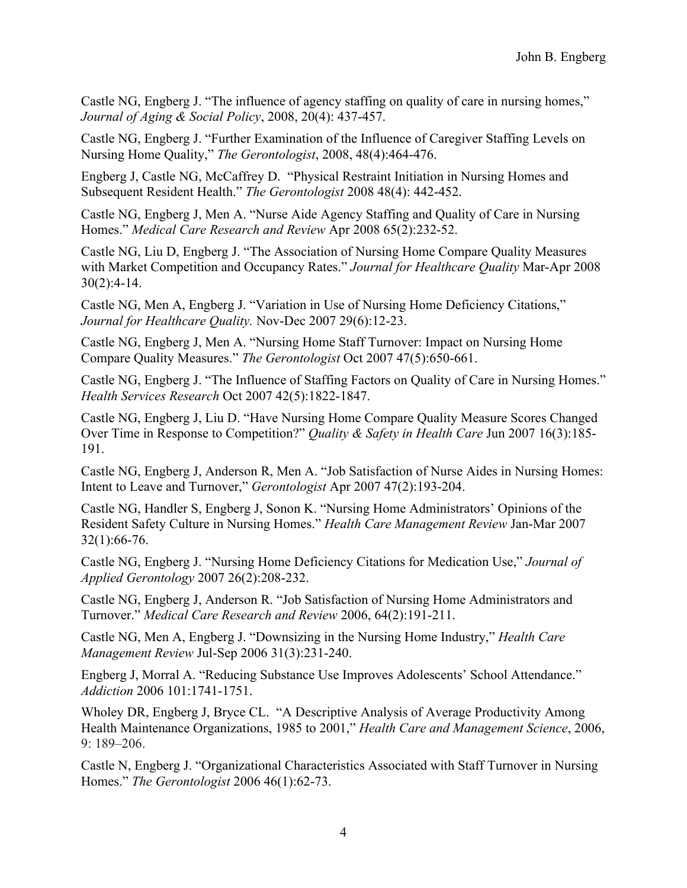Castle NG, Engberg J. "The influence of agency staffing on quality of care in nursing homes," *Journal of Aging & Social Policy*, 2008, 20(4): 437-457.

Castle NG, Engberg J. "Further Examination of the Influence of Caregiver Staffing Levels on Nursing Home Quality," *The Gerontologist*, 2008, 48(4):464-476.

Engberg J, Castle NG, McCaffrey D. "Physical Restraint Initiation in Nursing Homes and Subsequent Resident Health." *The Gerontologist* 2008 48(4): 442-452.

Castle NG, Engberg J, Men A. "Nurse Aide Agency Staffing and Quality of Care in Nursing Homes." *Medical Care Research and Review* Apr 2008 65(2):232-52.

Castle NG, Liu D, Engberg J. "The Association of Nursing Home Compare Quality Measures with Market Competition and Occupancy Rates." *Journal for Healthcare Quality* Mar-Apr 2008 30(2):4-14.

Castle NG, Men A, Engberg J. "Variation in Use of Nursing Home Deficiency Citations," *Journal for Healthcare Quality.* Nov-Dec 2007 29(6):12-23.

Castle NG, Engberg J, Men A. "Nursing Home Staff Turnover: Impact on Nursing Home Compare Quality Measures." *The Gerontologist* Oct 2007 47(5):650-661.

Castle NG, Engberg J. "The Influence of Staffing Factors on Quality of Care in Nursing Homes." *Health Services Research* Oct 2007 42(5):1822-1847.

Castle NG, Engberg J, Liu D. "Have Nursing Home Compare Quality Measure Scores Changed Over Time in Response to Competition?" *Quality & Safety in Health Care* Jun 2007 16(3):185- 191.

Castle NG, Engberg J, Anderson R, Men A. "Job Satisfaction of Nurse Aides in Nursing Homes: Intent to Leave and Turnover," *Gerontologist* Apr 2007 47(2):193-204.

Castle NG, Handler S, Engberg J, Sonon K. "Nursing Home Administrators' Opinions of the Resident Safety Culture in Nursing Homes." *Health Care Management Review* Jan-Mar 2007 32(1):66-76.

Castle NG, Engberg J. "Nursing Home Deficiency Citations for Medication Use," *Journal of Applied Gerontology* 2007 26(2):208-232.

Castle NG, Engberg J, Anderson R. "Job Satisfaction of Nursing Home Administrators and Turnover." *Medical Care Research and Review* 2006, 64(2):191-211.

Castle NG, Men A, Engberg J. "Downsizing in the Nursing Home Industry," *Health Care Management Review* Jul-Sep 2006 31(3):231-240.

Engberg J, Morral A. "Reducing Substance Use Improves Adolescents' School Attendance." *Addiction* 2006 101:1741-1751.

Wholey DR, Engberg J, Bryce CL. "A Descriptive Analysis of Average Productivity Among Health Maintenance Organizations, 1985 to 2001," *Health Care and Management Science*, 2006, 9: 189–206.

Castle N, Engberg J. "Organizational Characteristics Associated with Staff Turnover in Nursing Homes." *The Gerontologist* 2006 46(1):62-73.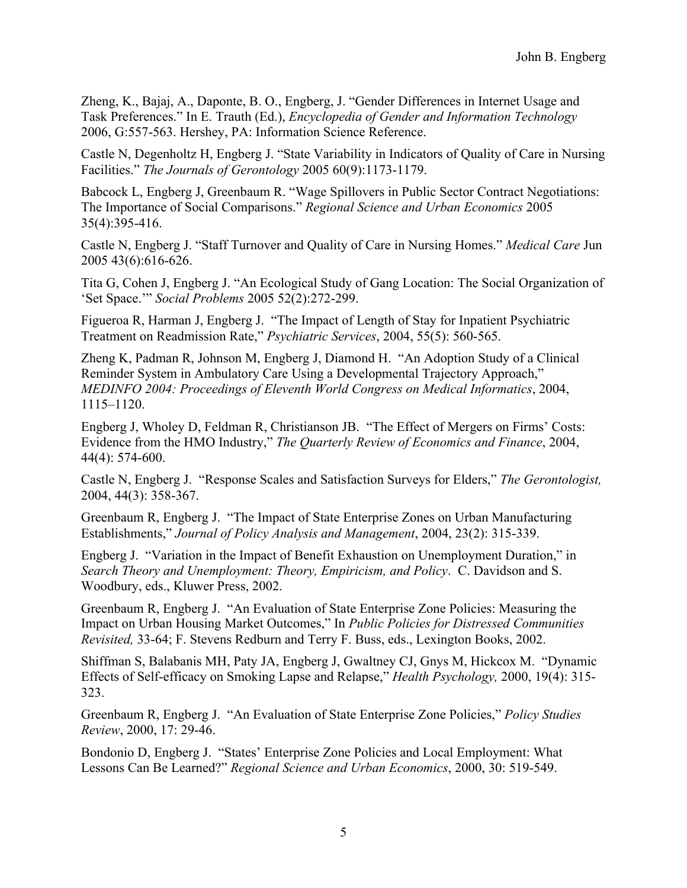Zheng, K., Bajaj, A., Daponte, B. O., Engberg, J. "Gender Differences in Internet Usage and Task Preferences." In E. Trauth (Ed.), *Encyclopedia of Gender and Information Technology* 2006, G:557-563. Hershey, PA: Information Science Reference.

Castle N, Degenholtz H, Engberg J. "State Variability in Indicators of Quality of Care in Nursing Facilities." *The Journals of Gerontology* 2005 60(9):1173-1179.

Babcock L, Engberg J, Greenbaum R. "Wage Spillovers in Public Sector Contract Negotiations: The Importance of Social Comparisons." *Regional Science and Urban Economics* 2005 35(4):395-416.

Castle N, Engberg J. "Staff Turnover and Quality of Care in Nursing Homes." *Medical Care* Jun 2005 43(6):616-626.

Tita G, Cohen J, Engberg J. "An Ecological Study of Gang Location: The Social Organization of 'Set Space.'" *Social Problems* 2005 52(2):272-299.

Figueroa R, Harman J, Engberg J. "The Impact of Length of Stay for Inpatient Psychiatric Treatment on Readmission Rate," *Psychiatric Services*, 2004, 55(5): 560-565.

Zheng K, Padman R, Johnson M, Engberg J, Diamond H. "An Adoption Study of a Clinical Reminder System in Ambulatory Care Using a Developmental Trajectory Approach," *MEDINFO 2004: Proceedings of Eleventh World Congress on Medical Informatics*, 2004, 1115–1120.

Engberg J, Wholey D, Feldman R, Christianson JB. "The Effect of Mergers on Firms' Costs: Evidence from the HMO Industry," *The Quarterly Review of Economics and Finance*, 2004, 44(4): 574-600.

Castle N, Engberg J. "Response Scales and Satisfaction Surveys for Elders," *The Gerontologist,*  2004, 44(3): 358-367.

Greenbaum R, Engberg J. "The Impact of State Enterprise Zones on Urban Manufacturing Establishments," *Journal of Policy Analysis and Management*, 2004, 23(2): 315-339.

Engberg J. "Variation in the Impact of Benefit Exhaustion on Unemployment Duration," in *Search Theory and Unemployment: Theory, Empiricism, and Policy*. C. Davidson and S. Woodbury, eds., Kluwer Press, 2002.

Greenbaum R, Engberg J. "An Evaluation of State Enterprise Zone Policies: Measuring the Impact on Urban Housing Market Outcomes," In *Public Policies for Distressed Communities Revisited,* 33-64; F. Stevens Redburn and Terry F. Buss, eds., Lexington Books, 2002.

Shiffman S, Balabanis MH, Paty JA, Engberg J, Gwaltney CJ, Gnys M, Hickcox M. "Dynamic Effects of Self-efficacy on Smoking Lapse and Relapse," *Health Psychology,* 2000, 19(4): 315- 323.

Greenbaum R, Engberg J. "An Evaluation of State Enterprise Zone Policies," *Policy Studies Review*, 2000, 17: 29-46.

Bondonio D, Engberg J. "States' Enterprise Zone Policies and Local Employment: What Lessons Can Be Learned?" *Regional Science and Urban Economics*, 2000, 30: 519-549.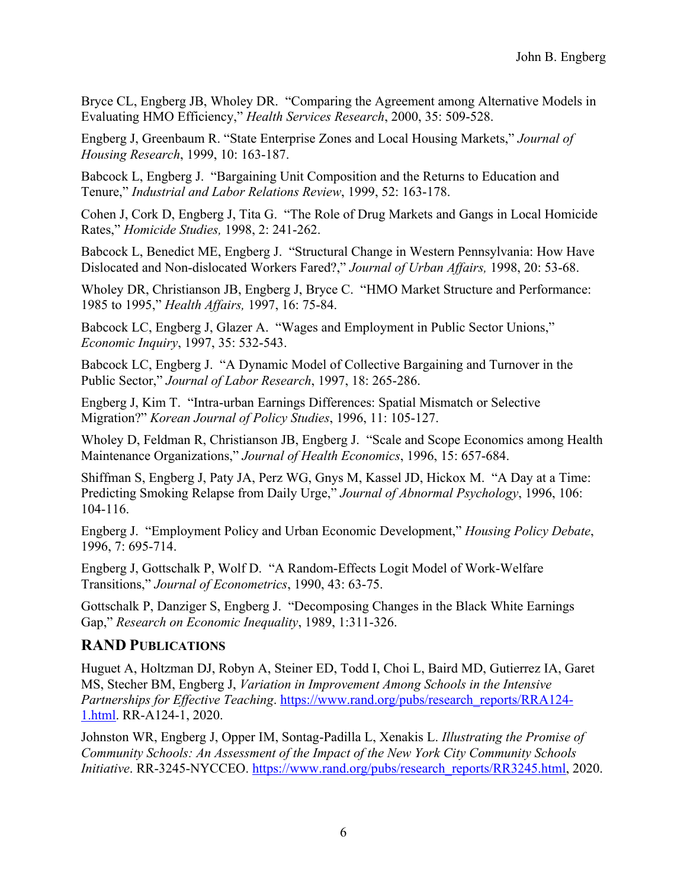Bryce CL, Engberg JB, Wholey DR. "Comparing the Agreement among Alternative Models in Evaluating HMO Efficiency," *Health Services Research*, 2000, 35: 509-528.

Engberg J, Greenbaum R. "State Enterprise Zones and Local Housing Markets," *Journal of Housing Research*, 1999, 10: 163-187.

Babcock L, Engberg J. "Bargaining Unit Composition and the Returns to Education and Tenure," *Industrial and Labor Relations Review*, 1999, 52: 163-178.

Cohen J, Cork D, Engberg J, Tita G. "The Role of Drug Markets and Gangs in Local Homicide Rates," *Homicide Studies,* 1998, 2: 241-262.

Babcock L, Benedict ME, Engberg J. "Structural Change in Western Pennsylvania: How Have Dislocated and Non-dislocated Workers Fared?," *Journal of Urban Affairs,* 1998, 20: 53-68.

Wholey DR, Christianson JB, Engberg J, Bryce C. "HMO Market Structure and Performance: 1985 to 1995," *Health Affairs,* 1997, 16: 75-84.

Babcock LC, Engberg J, Glazer A. "Wages and Employment in Public Sector Unions," *Economic Inquiry*, 1997, 35: 532-543.

Babcock LC, Engberg J. "A Dynamic Model of Collective Bargaining and Turnover in the Public Sector," *Journal of Labor Research*, 1997, 18: 265-286.

Engberg J, Kim T. "Intra-urban Earnings Differences: Spatial Mismatch or Selective Migration?" *Korean Journal of Policy Studies*, 1996, 11: 105-127.

Wholey D, Feldman R, Christianson JB, Engberg J. "Scale and Scope Economics among Health Maintenance Organizations," *Journal of Health Economics*, 1996, 15: 657-684.

Shiffman S, Engberg J, Paty JA, Perz WG, Gnys M, Kassel JD, Hickox M. "A Day at a Time: Predicting Smoking Relapse from Daily Urge," *Journal of Abnormal Psychology*, 1996, 106: 104-116.

Engberg J. "Employment Policy and Urban Economic Development," *Housing Policy Debate*, 1996, 7: 695-714.

Engberg J, Gottschalk P, Wolf D. "A Random-Effects Logit Model of Work-Welfare Transitions," *Journal of Econometrics*, 1990, 43: 63-75.

Gottschalk P, Danziger S, Engberg J. "Decomposing Changes in the Black White Earnings Gap," *Research on Economic Inequality*, 1989, 1:311-326.

# **RAND PUBLICATIONS**

Huguet A, Holtzman DJ, Robyn A, Steiner ED, Todd I, Choi L, Baird MD, Gutierrez IA, Garet MS, Stecher BM, Engberg J, *Variation in Improvement Among Schools in the Intensive Partnerships for Effective Teaching.* https://www.rand.org/pubs/research\_reports/RRA124-1.html. RR-A124-1, 2020.

Johnston WR, Engberg J, Opper IM, Sontag-Padilla L, Xenakis L. *Illustrating the Promise of Community Schools: An Assessment of the Impact of the New York City Community Schools Initiative*. RR-3245-NYCCEO. https://www.rand.org/pubs/research\_reports/RR3245.html, 2020.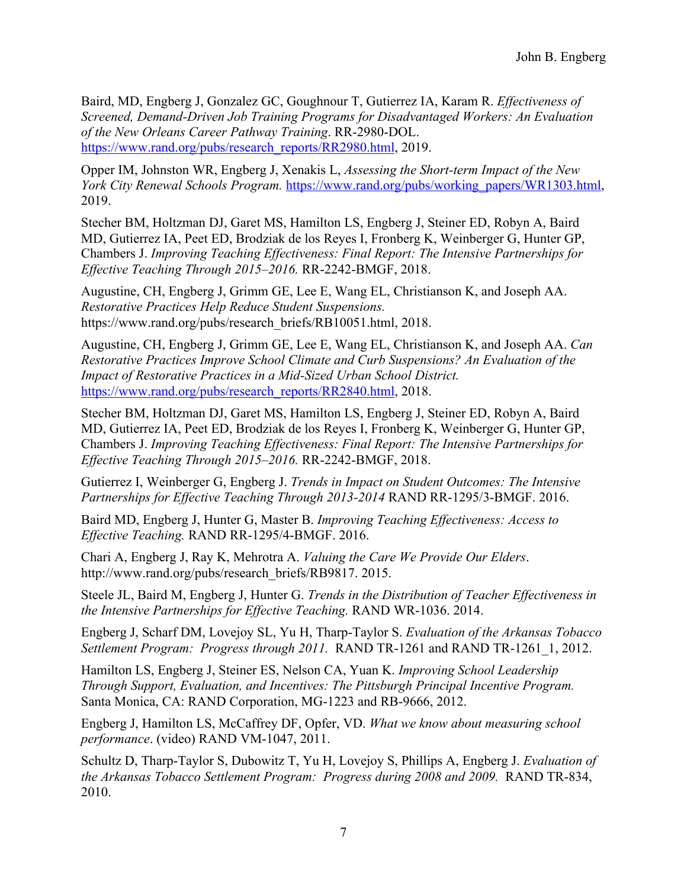Baird, MD, Engberg J, Gonzalez GC, Goughnour T, Gutierrez IA, Karam R. *Effectiveness of Screened, Demand-Driven Job Training Programs for Disadvantaged Workers: An Evaluation of the New Orleans Career Pathway Training*. RR-2980-DOL. https://www.rand.org/pubs/research\_reports/RR2980.html, 2019.

Opper IM, Johnston WR, Engberg J, Xenakis L, *Assessing the Short-term Impact of the New York City Renewal Schools Program.* https://www.rand.org/pubs/working\_papers/WR1303.html, 2019.

Stecher BM, Holtzman DJ, Garet MS, Hamilton LS, Engberg J, Steiner ED, Robyn A, Baird MD, Gutierrez IA, Peet ED, Brodziak de los Reyes I, Fronberg K, Weinberger G, Hunter GP, Chambers J. *Improving Teaching Effectiveness: Final Report: The Intensive Partnerships for Effective Teaching Through 2015–2016.* RR-2242-BMGF, 2018.

Augustine, CH, Engberg J, Grimm GE, Lee E, Wang EL, Christianson K, and Joseph AA. *Restorative Practices Help Reduce Student Suspensions.* https://www.rand.org/pubs/research\_briefs/RB10051.html, 2018.

Augustine, CH, Engberg J, Grimm GE, Lee E, Wang EL, Christianson K, and Joseph AA. *Can Restorative Practices Improve School Climate and Curb Suspensions? An Evaluation of the Impact of Restorative Practices in a Mid-Sized Urban School District.* https://www.rand.org/pubs/research\_reports/RR2840.html, 2018.

Stecher BM, Holtzman DJ, Garet MS, Hamilton LS, Engberg J, Steiner ED, Robyn A, Baird MD, Gutierrez IA, Peet ED, Brodziak de los Reyes I, Fronberg K, Weinberger G, Hunter GP, Chambers J. *Improving Teaching Effectiveness: Final Report: The Intensive Partnerships for Effective Teaching Through 2015–2016.* RR-2242-BMGF, 2018.

Gutierrez I, Weinberger G, Engberg J. *Trends in Impact on Student Outcomes: The Intensive Partnerships for Effective Teaching Through 2013-2014* RAND RR-1295/3-BMGF. 2016.

Baird MD, Engberg J, Hunter G, Master B. *Improving Teaching Effectiveness: Access to Effective Teaching.* RAND RR-1295/4-BMGF. 2016.

Chari A, Engberg J, Ray K, Mehrotra A. *Valuing the Care We Provide Our Elders*. http://www.rand.org/pubs/research\_briefs/RB9817. 2015.

Steele JL, Baird M, Engberg J, Hunter G. *Trends in the Distribution of Teacher Effectiveness in the Intensive Partnerships for Effective Teaching.* RAND WR-1036. 2014.

Engberg J, Scharf DM, Lovejoy SL, Yu H, Tharp-Taylor S. *Evaluation of the Arkansas Tobacco Settlement Program: Progress through 2011.* RAND TR-1261 and RAND TR-1261\_1, 2012.

Hamilton LS, Engberg J, Steiner ES, Nelson CA, Yuan K. *Improving School Leadership Through Support, Evaluation, and Incentives: The Pittsburgh Principal Incentive Program.* Santa Monica, CA: RAND Corporation, MG-1223 and RB-9666, 2012.

Engberg J, Hamilton LS, McCaffrey DF, Opfer, VD. *What we know about measuring school performance*. (video) RAND VM-1047, 2011.

Schultz D, Tharp-Taylor S, Dubowitz T, Yu H, Lovejoy S, Phillips A, Engberg J. *Evaluation of the Arkansas Tobacco Settlement Program: Progress during 2008 and 2009.* RAND TR-834, 2010.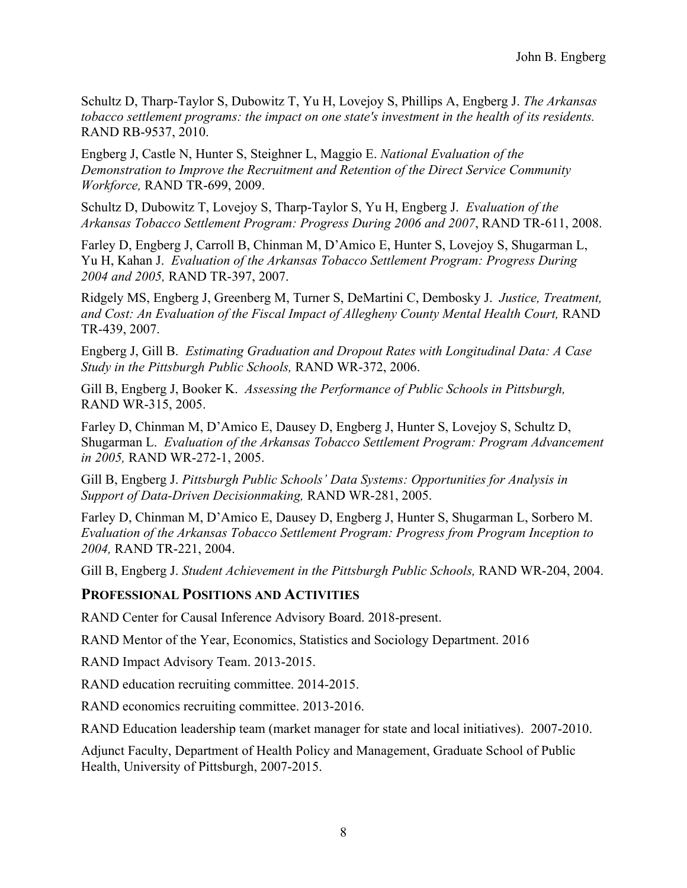Schultz D, Tharp-Taylor S, Dubowitz T, Yu H, Lovejoy S, Phillips A, Engberg J. *The Arkansas tobacco settlement programs: the impact on one state's investment in the health of its residents.* RAND RB-9537, 2010.

Engberg J, Castle N, Hunter S, Steighner L, Maggio E. *National Evaluation of the Demonstration to Improve the Recruitment and Retention of the Direct Service Community Workforce,* RAND TR-699, 2009.

Schultz D, Dubowitz T, Lovejoy S, Tharp-Taylor S, Yu H, Engberg J. *Evaluation of the Arkansas Tobacco Settlement Program: Progress During 2006 and 2007*, RAND TR-611, 2008.

Farley D, Engberg J, Carroll B, Chinman M, D'Amico E, Hunter S, Lovejoy S, Shugarman L, Yu H, Kahan J. *Evaluation of the Arkansas Tobacco Settlement Program: Progress During 2004 and 2005,* RAND TR-397, 2007.

Ridgely MS, Engberg J, Greenberg M, Turner S, DeMartini C, Dembosky J. *Justice, Treatment, and Cost: An Evaluation of the Fiscal Impact of Allegheny County Mental Health Court,* RAND TR-439, 2007.

Engberg J, Gill B. *Estimating Graduation and Dropout Rates with Longitudinal Data: A Case Study in the Pittsburgh Public Schools,* RAND WR-372, 2006.

Gill B, Engberg J, Booker K. *Assessing the Performance of Public Schools in Pittsburgh,* RAND WR-315, 2005.

Farley D, Chinman M, D'Amico E, Dausey D, Engberg J, Hunter S, Lovejoy S, Schultz D, Shugarman L. *Evaluation of the Arkansas Tobacco Settlement Program: Program Advancement in 2005,* RAND WR-272-1, 2005.

Gill B, Engberg J. *Pittsburgh Public Schools' Data Systems: Opportunities for Analysis in Support of Data-Driven Decisionmaking,* RAND WR-281, 2005.

Farley D, Chinman M, D'Amico E, Dausey D, Engberg J, Hunter S, Shugarman L, Sorbero M. *Evaluation of the Arkansas Tobacco Settlement Program: Progress from Program Inception to 2004,* RAND TR-221, 2004.

Gill B, Engberg J. *Student Achievement in the Pittsburgh Public Schools,* RAND WR-204, 2004.

# **PROFESSIONAL POSITIONS AND ACTIVITIES**

RAND Center for Causal Inference Advisory Board. 2018-present.

RAND Mentor of the Year, Economics, Statistics and Sociology Department. 2016

RAND Impact Advisory Team. 2013-2015.

RAND education recruiting committee. 2014-2015.

RAND economics recruiting committee. 2013-2016.

RAND Education leadership team (market manager for state and local initiatives). 2007-2010.

Adjunct Faculty, Department of Health Policy and Management, Graduate School of Public Health, University of Pittsburgh, 2007-2015.